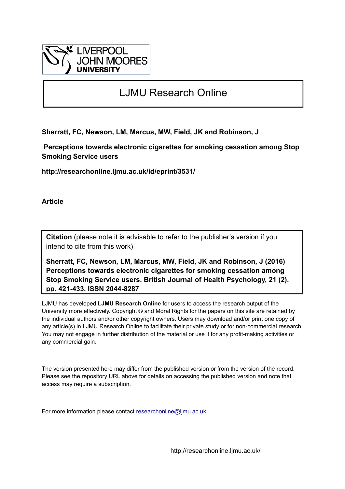

# LJMU Research Online

**Sherratt, FC, Newson, LM, Marcus, MW, Field, JK and Robinson, J**

 **Perceptions towards electronic cigarettes for smoking cessation among Stop Smoking Service users**

**http://researchonline.ljmu.ac.uk/id/eprint/3531/**

**Article**

**Citation** (please note it is advisable to refer to the publisher's version if you intend to cite from this work)

**Sherratt, FC, Newson, LM, Marcus, MW, Field, JK and Robinson, J (2016) Perceptions towards electronic cigarettes for smoking cessation among Stop Smoking Service users. British Journal of Health Psychology, 21 (2). pp. 421-433. ISSN 2044-8287** 

LJMU has developed **[LJMU Research Online](http://researchonline.ljmu.ac.uk/)** for users to access the research output of the University more effectively. Copyright © and Moral Rights for the papers on this site are retained by the individual authors and/or other copyright owners. Users may download and/or print one copy of any article(s) in LJMU Research Online to facilitate their private study or for non-commercial research. You may not engage in further distribution of the material or use it for any profit-making activities or any commercial gain.

The version presented here may differ from the published version or from the version of the record. Please see the repository URL above for details on accessing the published version and note that access may require a subscription.

For more information please contact [researchonline@ljmu.ac.uk](mailto:researchonline@ljmu.ac.uk)

http://researchonline.ljmu.ac.uk/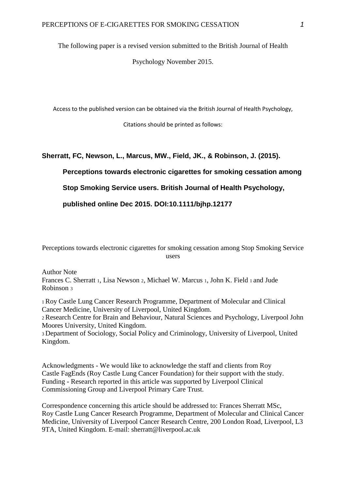The following paper is a revised version submitted to the British Journal of Health

Psychology November 2015.

Access to the published version can be obtained via the British Journal of Health Psychology,

Citations should be printed as follows:

# **Sherratt, FC, Newson, L., Marcus, MW., Field, JK., & Robinson, J. (2015).**

**Perceptions towards electronic cigarettes for smoking cessation among** 

**Stop Smoking Service users. British Journal of Health Psychology,** 

**published online Dec 2015. DOI:10.1111/bjhp.12177**

Perceptions towards electronic cigarettes for smoking cessation among Stop Smoking Service users

Author Note Frances C. Sherratt 1, Lisa Newson 2, Michael W. Marcus 1, John K. Field 1 and Jude Robinson <sup>3</sup>

<sup>1</sup>Roy Castle Lung Cancer Research Programme, Department of Molecular and Clinical Cancer Medicine, University of Liverpool, United Kingdom.

<sup>2</sup>Research Centre for Brain and Behaviour, Natural Sciences and Psychology, Liverpool John Moores University, United Kingdom.

<sup>3</sup>Department of Sociology, Social Policy and Criminology, University of Liverpool, United Kingdom.

Acknowledgments - We would like to acknowledge the staff and clients from Roy Castle FagEnds (Roy Castle Lung Cancer Foundation) for their support with the study. Funding - Research reported in this article was supported by Liverpool Clinical Commissioning Group and Liverpool Primary Care Trust.

Correspondence concerning this article should be addressed to: Frances Sherratt MSc, Roy Castle Lung Cancer Research Programme, Department of Molecular and Clinical Cancer Medicine, University of Liverpool Cancer Research Centre, 200 London Road, Liverpool, L3 9TA, United Kingdom. E-mail: sherratt@liverpool.ac.uk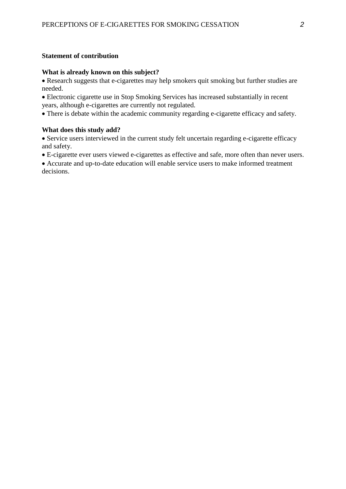## **Statement of contribution**

#### **What is already known on this subject?**

• Research suggests that e-cigarettes may help smokers quit smoking but further studies are needed.

Electronic cigarette use in Stop Smoking Services has increased substantially in recent years, although e-cigarettes are currently not regulated.

There is debate within the academic community regarding e-cigarette efficacy and safety.

### **What does this study add?**

Service users interviewed in the current study felt uncertain regarding e-cigarette efficacy and safety.

E-cigarette ever users viewed e-cigarettes as effective and safe, more often than never users.

Accurate and up-to-date education will enable service users to make informed treatment decisions.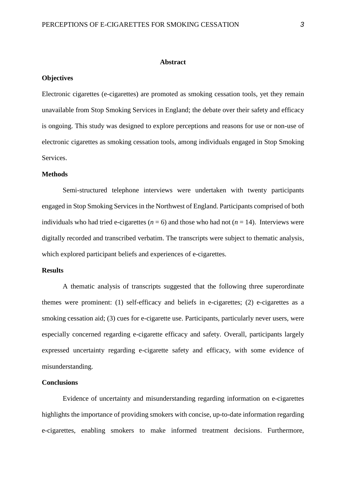#### **Abstract**

#### **Objectives**

Electronic cigarettes (e-cigarettes) are promoted as smoking cessation tools, yet they remain unavailable from Stop Smoking Services in England; the debate over their safety and efficacy is ongoing. This study was designed to explore perceptions and reasons for use or non-use of electronic cigarettes as smoking cessation tools, among individuals engaged in Stop Smoking Services.

#### **Methods**

Semi-structured telephone interviews were undertaken with twenty participants engaged in Stop Smoking Services in the Northwest of England. Participants comprised of both individuals who had tried e-cigarettes ( $n = 6$ ) and those who had not ( $n = 14$ ). Interviews were digitally recorded and transcribed verbatim. The transcripts were subject to thematic analysis, which explored participant beliefs and experiences of e-cigarettes.

## **Results**

A thematic analysis of transcripts suggested that the following three superordinate themes were prominent: (1) self-efficacy and beliefs in e-cigarettes; (2) e-cigarettes as a smoking cessation aid; (3) cues for e-cigarette use. Participants, particularly never users, were especially concerned regarding e-cigarette efficacy and safety. Overall, participants largely expressed uncertainty regarding e-cigarette safety and efficacy, with some evidence of misunderstanding.

## **Conclusions**

Evidence of uncertainty and misunderstanding regarding information on e-cigarettes highlights the importance of providing smokers with concise, up-to-date information regarding e-cigarettes, enabling smokers to make informed treatment decisions. Furthermore,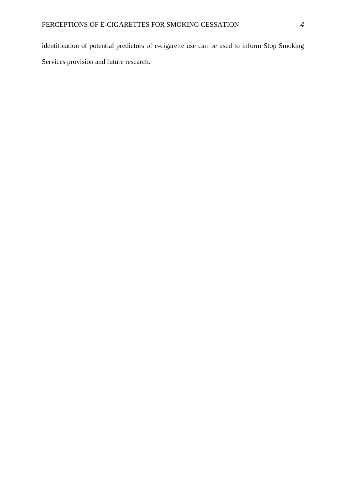identification of potential predictors of e-cigarette use can be used to inform Stop Smoking Services provision and future research.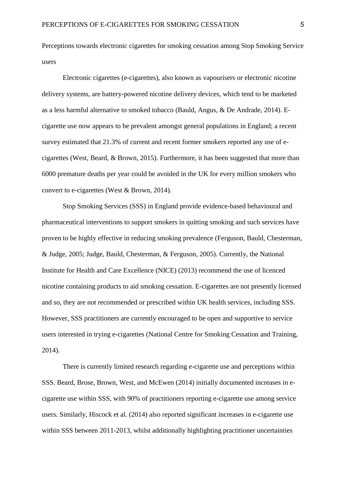Perceptions towards electronic cigarettes for smoking cessation among Stop Smoking Service users

Electronic cigarettes (e-cigarettes), also known as vapourisers or electronic nicotine delivery systems, are battery-powered nicotine delivery devices, which tend to be marketed as a less harmful alternative to smoked tobacco (Bauld, Angus, & De Andrade, 2014). Ecigarette use now appears to be prevalent amongst general populations in England; a recent survey estimated that 21.3% of current and recent former smokers reported any use of ecigarettes (West, Beard, & Brown, 2015). Furthermore, it has been suggested that more than 6000 premature deaths per year could be avoided in the UK for every million smokers who convert to e-cigarettes (West & Brown, 2014).

Stop Smoking Services (SSS) in England provide evidence-based behavioural and pharmaceutical interventions to support smokers in quitting smoking and such services have proven to be highly effective in reducing smoking prevalence (Ferguson, Bauld, Chesterman, & Judge, 2005; Judge, Bauld, Chesterman, & Ferguson, 2005). Currently, the National Institute for Health and Care Excellence (NICE) (2013) recommend the use of licenced nicotine containing products to aid smoking cessation. E-cigarettes are not presently licensed and so, they are not recommended or prescribed within UK health services, including SSS. However, SSS practitioners are currently encouraged to be open and supportive to service users interested in trying e-cigarettes (National Centre for Smoking Cessation and Training, 2014).

There is currently limited research regarding e-cigarette use and perceptions within SSS. Beard, Brose, Brown, West, and McEwen (2014) initially documented increases in ecigarette use within SSS, with 90% of practitioners reporting e-cigarette use among service users. Similarly, Hiscock et al. (2014) also reported significant increases in e-cigarette use within SSS between 2011-2013, whilst additionally highlighting practitioner uncertainties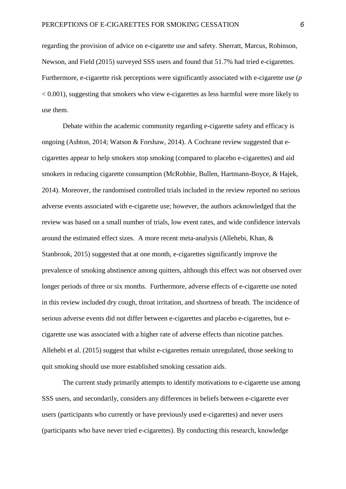regarding the provision of advice on e-cigarette use and safety. Sherratt, Marcus, Robinson, Newson, and Field (2015) surveyed SSS users and found that 51.7% had tried e-cigarettes. Furthermore, e-cigarette risk perceptions were significantly associated with e-cigarette use (*p*   $\langle 0.001 \rangle$ , suggesting that smokers who view e-cigarettes as less harmful were more likely to use them.

Debate within the academic community regarding e-cigarette safety and efficacy is ongoing (Ashton, 2014; Watson & Forshaw, 2014). A Cochrane review suggested that ecigarettes appear to help smokers stop smoking (compared to placebo e-cigarettes) and aid smokers in reducing cigarette consumption (McRobbie, Bullen, Hartmann-Boyce, & Hajek, 2014). Moreover, the randomised controlled trials included in the review reported no serious adverse events associated with e-cigarette use; however, the authors acknowledged that the review was based on a small number of trials, low event rates, and wide confidence intervals around the estimated effect sizes. A more recent meta-analysis (Allehebi, Khan, & Stanbrook, 2015) suggested that at one month, e-cigarettes significantly improve the prevalence of smoking abstinence among quitters, although this effect was not observed over longer periods of three or six months. Furthermore, adverse effects of e-cigarette use noted in this review included dry cough, throat irritation, and shortness of breath. The incidence of serious adverse events did not differ between e-cigarettes and placebo e-cigarettes, but ecigarette use was associated with a higher rate of adverse effects than nicotine patches. Allehebi et al. (2015) suggest that whilst e-cigarettes remain unregulated, those seeking to quit smoking should use more established smoking cessation aids.

The current study primarily attempts to identify motivations to e-cigarette use among SSS users, and secondarily, considers any differences in beliefs between e-cigarette ever users (participants who currently or have previously used e-cigarettes) and never users (participants who have never tried e-cigarettes). By conducting this research, knowledge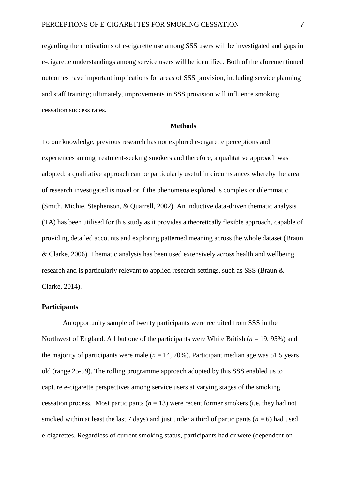regarding the motivations of e-cigarette use among SSS users will be investigated and gaps in e-cigarette understandings among service users will be identified. Both of the aforementioned outcomes have important implications for areas of SSS provision, including service planning and staff training; ultimately, improvements in SSS provision will influence smoking cessation success rates.

## **Methods**

To our knowledge, previous research has not explored e-cigarette perceptions and experiences among treatment-seeking smokers and therefore, a qualitative approach was adopted; a qualitative approach can be particularly useful in circumstances whereby the area of research investigated is novel or if the phenomena explored is complex or dilemmatic (Smith, Michie, Stephenson, & Quarrell, 2002). An inductive data-driven thematic analysis (TA) has been utilised for this study as it provides a theoretically flexible approach, capable of providing detailed accounts and exploring patterned meaning across the whole dataset (Braun & Clarke, 2006). Thematic analysis has been used extensively across health and wellbeing research and is particularly relevant to applied research settings, such as SSS (Braun & Clarke, 2014).

#### **Participants**

An opportunity sample of twenty participants were recruited from SSS in the Northwest of England. All but one of the participants were White British (*n* = 19, 95%) and the majority of participants were male  $(n = 14, 70\%)$ . Participant median age was 51.5 years old (range 25-59). The rolling programme approach adopted by this SSS enabled us to capture e-cigarette perspectives among service users at varying stages of the smoking cessation process. Most participants  $(n = 13)$  were recent former smokers (i.e. they had not smoked within at least the last 7 days) and just under a third of participants ( $n = 6$ ) had used e-cigarettes. Regardless of current smoking status, participants had or were (dependent on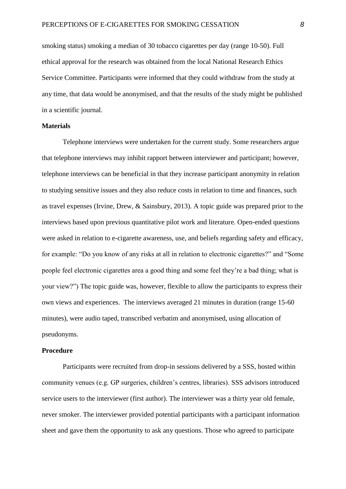smoking status) smoking a median of 30 tobacco cigarettes per day (range 10-50). Full ethical approval for the research was obtained from the local National Research Ethics Service Committee. Participants were informed that they could withdraw from the study at any time, that data would be anonymised, and that the results of the study might be published in a scientific journal.

## **Materials**

Telephone interviews were undertaken for the current study. Some researchers argue that telephone interviews may inhibit rapport between interviewer and participant; however, telephone interviews can be beneficial in that they increase participant anonymity in relation to studying sensitive issues and they also reduce costs in relation to time and finances, such as travel expenses (Irvine, Drew, & Sainsbury, 2013). A topic guide was prepared prior to the interviews based upon previous quantitative pilot work and literature. Open-ended questions were asked in relation to e-cigarette awareness, use, and beliefs regarding safety and efficacy, for example: "Do you know of any risks at all in relation to electronic cigarettes?" and "Some people feel electronic cigarettes area a good thing and some feel they're a bad thing; what is your view?") The topic guide was, however, flexible to allow the participants to express their own views and experiences. The interviews averaged 21 minutes in duration (range 15-60 minutes), were audio taped, transcribed verbatim and anonymised, using allocation of pseudonyms.

#### **Procedure**

Participants were recruited from drop-in sessions delivered by a SSS, hosted within community venues (e.g. GP surgeries, children's centres, libraries). SSS advisors introduced service users to the interviewer (first author). The interviewer was a thirty year old female, never smoker. The interviewer provided potential participants with a participant information sheet and gave them the opportunity to ask any questions. Those who agreed to participate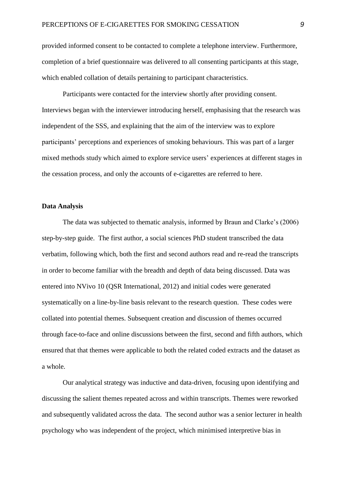provided informed consent to be contacted to complete a telephone interview. Furthermore, completion of a brief questionnaire was delivered to all consenting participants at this stage, which enabled collation of details pertaining to participant characteristics.

Participants were contacted for the interview shortly after providing consent. Interviews began with the interviewer introducing herself, emphasising that the research was independent of the SSS, and explaining that the aim of the interview was to explore participants' perceptions and experiences of smoking behaviours. This was part of a larger mixed methods study which aimed to explore service users' experiences at different stages in the cessation process, and only the accounts of e-cigarettes are referred to here.

## **Data Analysis**

The data was subjected to thematic analysis, informed by Braun and Clarke's (2006) step-by-step guide. The first author, a social sciences PhD student transcribed the data verbatim, following which, both the first and second authors read and re-read the transcripts in order to become familiar with the breadth and depth of data being discussed. Data was entered into NVivo 10 (QSR International, 2012) and initial codes were generated systematically on a line-by-line basis relevant to the research question. These codes were collated into potential themes. Subsequent creation and discussion of themes occurred through face-to-face and online discussions between the first, second and fifth authors, which ensured that that themes were applicable to both the related coded extracts and the dataset as a whole.

Our analytical strategy was inductive and data-driven, focusing upon identifying and discussing the salient themes repeated across and within transcripts. Themes were reworked and subsequently validated across the data. The second author was a senior lecturer in health psychology who was independent of the project, which minimised interpretive bias in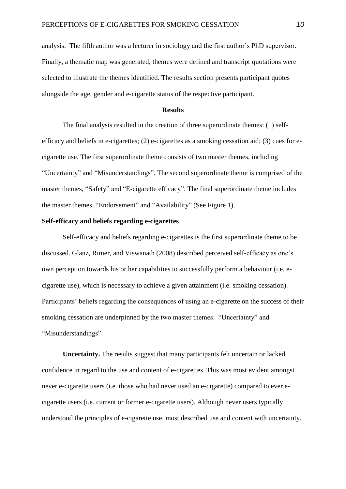analysis. The fifth author was a lecturer in sociology and the first author's PhD supervisor. Finally, a thematic map was generated, themes were defined and transcript quotations were selected to illustrate the themes identified. The results section presents participant quotes alongside the age, gender and e-cigarette status of the respective participant.

#### **Results**

The final analysis resulted in the creation of three superordinate themes: (1) selfefficacy and beliefs in e-cigarettes; (2) e-cigarettes as a smoking cessation aid; (3) cues for ecigarette use. The first superordinate theme consists of two master themes, including "Uncertainty" and "Misunderstandings". The second superordinate theme is comprised of the master themes, "Safety" and "E-cigarette efficacy". The final superordinate theme includes the master themes, "Endorsement" and "Availability" (See Figure 1).

# **Self-efficacy and beliefs regarding e-cigarettes**

Self-efficacy and beliefs regarding e-cigarettes is the first superordinate theme to be discussed. Glanz, Rimer, and Viswanath (2008) described perceived self-efficacy as one's own perception towards his or her capabilities to successfully perform a behaviour (i.e. ecigarette use), which is necessary to achieve a given attainment (i.e. smoking cessation). Participants' beliefs regarding the consequences of using an e-cigarette on the success of their smoking cessation are underpinned by the two master themes: "Uncertainty" and "Misunderstandings"

**Uncertainty.** The results suggest that many participants felt uncertain or lacked confidence in regard to the use and content of e-cigarettes. This was most evident amongst never e-cigarette users (i.e. those who had never used an e-cigarette) compared to ever ecigarette users (i.e. current or former e-cigarette users). Although never users typically understood the principles of e-cigarette use, most described use and content with uncertainty.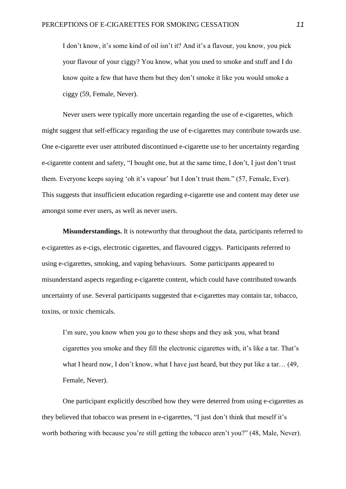I don't know, it's some kind of oil isn't it? And it's a flavour, you know, you pick your flavour of your ciggy? You know, what you used to smoke and stuff and I do know quite a few that have them but they don't smoke it like you would smoke a ciggy (59, Female, Never).

Never users were typically more uncertain regarding the use of e-cigarettes, which might suggest that self-efficacy regarding the use of e-cigarettes may contribute towards use. One e-cigarette ever user attributed discontinued e-cigarette use to her uncertainty regarding e-cigarette content and safety, "I bought one, but at the same time, I don't, I just don't trust them. Everyone keeps saying 'oh it's vapour' but I don't trust them." (57, Female, Ever). This suggests that insufficient education regarding e-cigarette use and content may deter use amongst some ever users, as well as never users.

**Misunderstandings.** It is noteworthy that throughout the data, participants referred to e-cigarettes as e-cigs, electronic cigarettes, and flavoured ciggys. Participants referred to using e-cigarettes, smoking, and vaping behaviours. Some participants appeared to misunderstand aspects regarding e-cigarette content, which could have contributed towards uncertainty of use. Several participants suggested that e-cigarettes may contain tar, tobacco, toxins, or toxic chemicals.

I'm sure, you know when you go to these shops and they ask you, what brand cigarettes you smoke and they fill the electronic cigarettes with, it's like a tar. That's what I heard now, I don't know, what I have just heard, but they put like a tar… (49, Female, Never).

One participant explicitly described how they were deterred from using e-cigarettes as they believed that tobacco was present in e-cigarettes, "I just don't think that meself it's worth bothering with because you're still getting the tobacco aren't you?" (48, Male, Never).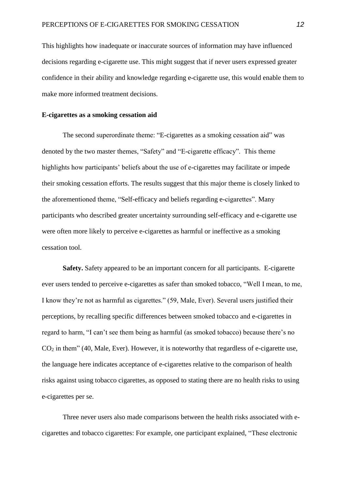This highlights how inadequate or inaccurate sources of information may have influenced decisions regarding e-cigarette use. This might suggest that if never users expressed greater confidence in their ability and knowledge regarding e-cigarette use, this would enable them to make more informed treatment decisions.

#### **E-cigarettes as a smoking cessation aid**

The second superordinate theme: "E-cigarettes as a smoking cessation aid" was denoted by the two master themes, "Safety" and "E-cigarette efficacy". This theme highlights how participants' beliefs about the use of e-cigarettes may facilitate or impede their smoking cessation efforts. The results suggest that this major theme is closely linked to the aforementioned theme, "Self-efficacy and beliefs regarding e-cigarettes". Many participants who described greater uncertainty surrounding self-efficacy and e-cigarette use were often more likely to perceive e-cigarettes as harmful or ineffective as a smoking cessation tool.

**Safety.** Safety appeared to be an important concern for all participants. E-cigarette ever users tended to perceive e-cigarettes as safer than smoked tobacco, "Well I mean, to me, I know they're not as harmful as cigarettes." (59, Male, Ever). Several users justified their perceptions, by recalling specific differences between smoked tobacco and e-cigarettes in regard to harm, "I can't see them being as harmful (as smoked tobacco) because there's no  $CO<sub>2</sub>$  in them" (40, Male, Ever). However, it is noteworthy that regardless of e-cigarette use, the language here indicates acceptance of e-cigarettes relative to the comparison of health risks against using tobacco cigarettes, as opposed to stating there are no health risks to using e-cigarettes per se.

Three never users also made comparisons between the health risks associated with ecigarettes and tobacco cigarettes: For example, one participant explained, "These electronic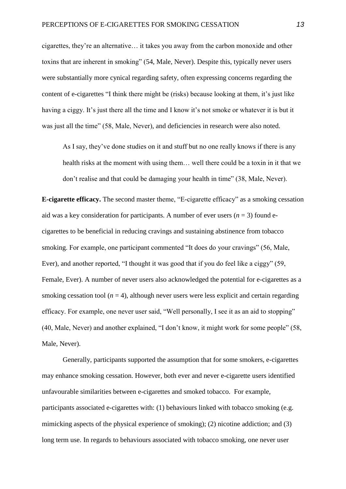cigarettes, they're an alternative… it takes you away from the carbon monoxide and other toxins that are inherent in smoking" (54, Male, Never). Despite this, typically never users were substantially more cynical regarding safety, often expressing concerns regarding the content of e-cigarettes "I think there might be (risks) because looking at them, it's just like having a ciggy. It's just there all the time and I know it's not smoke or whatever it is but it was just all the time" (58, Male, Never), and deficiencies in research were also noted.

As I say, they've done studies on it and stuff but no one really knows if there is any health risks at the moment with using them… well there could be a toxin in it that we don't realise and that could be damaging your health in time" (38, Male, Never).

**E-cigarette efficacy.** The second master theme, "E-cigarette efficacy" as a smoking cessation aid was a key consideration for participants. A number of ever users  $(n = 3)$  found ecigarettes to be beneficial in reducing cravings and sustaining abstinence from tobacco smoking. For example, one participant commented "It does do your cravings" (56, Male, Ever), and another reported, "I thought it was good that if you do feel like a ciggy" (59, Female, Ever). A number of never users also acknowledged the potential for e-cigarettes as a smoking cessation tool  $(n = 4)$ , although never users were less explicit and certain regarding efficacy. For example, one never user said, "Well personally, I see it as an aid to stopping" (40, Male, Never) and another explained, "I don't know, it might work for some people" (58, Male, Never).

Generally, participants supported the assumption that for some smokers, e-cigarettes may enhance smoking cessation. However, both ever and never e-cigarette users identified unfavourable similarities between e-cigarettes and smoked tobacco. For example, participants associated e-cigarettes with: (1) behaviours linked with tobacco smoking (e.g. mimicking aspects of the physical experience of smoking); (2) nicotine addiction; and (3) long term use. In regards to behaviours associated with tobacco smoking, one never user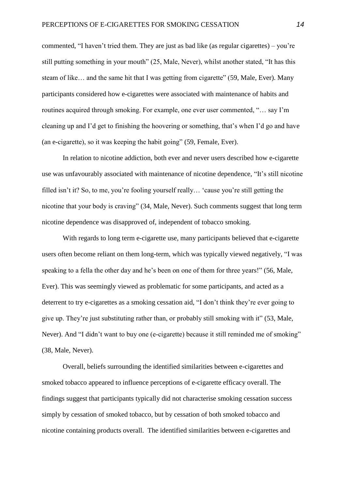commented, "I haven't tried them. They are just as bad like (as regular cigarettes) – you're still putting something in your mouth" (25, Male, Never), whilst another stated, "It has this steam of like… and the same hit that I was getting from cigarette" (59, Male, Ever). Many participants considered how e-cigarettes were associated with maintenance of habits and routines acquired through smoking. For example, one ever user commented, "… say I'm cleaning up and I'd get to finishing the hoovering or something, that's when I'd go and have (an e-cigarette), so it was keeping the habit going" (59, Female, Ever).

In relation to nicotine addiction, both ever and never users described how e-cigarette use was unfavourably associated with maintenance of nicotine dependence, "It's still nicotine filled isn't it? So, to me, you're fooling yourself really… 'cause you're still getting the nicotine that your body is craving" (34, Male, Never). Such comments suggest that long term nicotine dependence was disapproved of, independent of tobacco smoking.

With regards to long term e-cigarette use, many participants believed that e-cigarette users often become reliant on them long-term, which was typically viewed negatively, "I was speaking to a fella the other day and he's been on one of them for three years!" (56, Male, Ever). This was seemingly viewed as problematic for some participants, and acted as a deterrent to try e-cigarettes as a smoking cessation aid, "I don't think they're ever going to give up. They're just substituting rather than, or probably still smoking with it" (53, Male, Never). And "I didn't want to buy one (e-cigarette) because it still reminded me of smoking" (38, Male, Never).

Overall, beliefs surrounding the identified similarities between e-cigarettes and smoked tobacco appeared to influence perceptions of e-cigarette efficacy overall. The findings suggest that participants typically did not characterise smoking cessation success simply by cessation of smoked tobacco, but by cessation of both smoked tobacco and nicotine containing products overall. The identified similarities between e-cigarettes and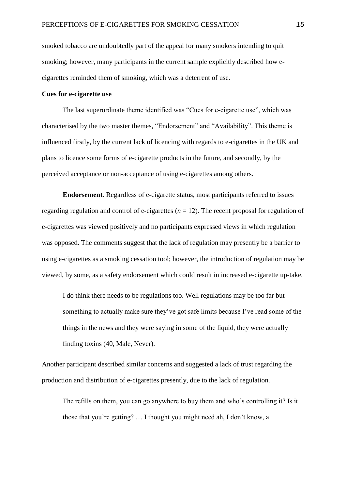smoked tobacco are undoubtedly part of the appeal for many smokers intending to quit smoking; however, many participants in the current sample explicitly described how ecigarettes reminded them of smoking, which was a deterrent of use.

## **Cues for e-cigarette use**

The last superordinate theme identified was "Cues for e-cigarette use", which was characterised by the two master themes, "Endorsement" and "Availability". This theme is influenced firstly, by the current lack of licencing with regards to e-cigarettes in the UK and plans to licence some forms of e-cigarette products in the future, and secondly, by the perceived acceptance or non-acceptance of using e-cigarettes among others.

**Endorsement.** Regardless of e-cigarette status, most participants referred to issues regarding regulation and control of e-cigarettes  $(n = 12)$ . The recent proposal for regulation of e-cigarettes was viewed positively and no participants expressed views in which regulation was opposed. The comments suggest that the lack of regulation may presently be a barrier to using e-cigarettes as a smoking cessation tool; however, the introduction of regulation may be viewed, by some, as a safety endorsement which could result in increased e-cigarette up-take.

I do think there needs to be regulations too. Well regulations may be too far but something to actually make sure they've got safe limits because I've read some of the things in the news and they were saying in some of the liquid, they were actually finding toxins (40, Male, Never).

Another participant described similar concerns and suggested a lack of trust regarding the production and distribution of e-cigarettes presently, due to the lack of regulation.

The refills on them, you can go anywhere to buy them and who's controlling it? Is it those that you're getting? … I thought you might need ah, I don't know, a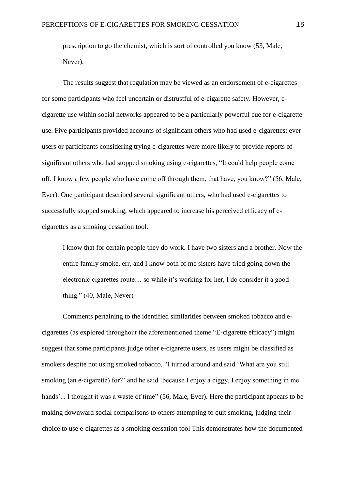prescription to go the chemist, which is sort of controlled you know (53, Male, Never).

The results suggest that regulation may be viewed as an endorsement of e-cigarettes for some participants who feel uncertain or distrustful of e-cigarette safety. However, ecigarette use within social networks appeared to be a particularly powerful cue for e-cigarette use. Five participants provided accounts of significant others who had used e-cigarettes; ever users or participants considering trying e-cigarettes were more likely to provide reports of significant others who had stopped smoking using e-cigarettes, "It could help people come off. I know a few people who have come off through them, that have, you know?" (56, Male, Ever). One participant described several significant others, who had used e-cigarettes to successfully stopped smoking, which appeared to increase his perceived efficacy of ecigarettes as a smoking cessation tool.

I know that for certain people they do work. I have two sisters and a brother. Now the entire family smoke, err, and I know both of me sisters have tried going down the electronic cigarettes route… so while it's working for her, I do consider it a good thing." (40, Male, Never)

Comments pertaining to the identified similarities between smoked tobacco and ecigarettes (as explored throughout the aforementioned theme "E-cigarette efficacy") might suggest that some participants judge other e-cigarette users, as users might be classified as smokers despite not using smoked tobacco, "I turned around and said 'What are you still smoking (an e-cigarette) for?' and he said 'because I enjoy a ciggy, I enjoy something in me hands'... I thought it was a waste of time" (56, Male, Ever). Here the participant appears to be making downward social comparisons to others attempting to quit smoking, judging their choice to use e-cigarettes as a smoking cessation tool This demonstrates how the documented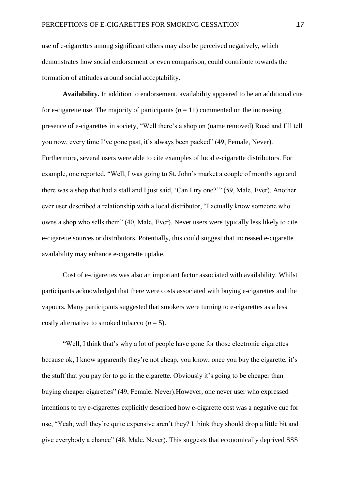use of e-cigarettes among significant others may also be perceived negatively, which demonstrates how social endorsement or even comparison, could contribute towards the formation of attitudes around social acceptability.

**Availability.** In addition to endorsement, availability appeared to be an additional cue for e-cigarette use. The majority of participants  $(n = 11)$  commented on the increasing presence of e-cigarettes in society, "Well there's a shop on (name removed) Road and I'll tell you now, every time I've gone past, it's always been packed" (49, Female, Never). Furthermore, several users were able to cite examples of local e-cigarette distributors. For example, one reported, "Well, I was going to St. John's market a couple of months ago and there was a shop that had a stall and I just said, 'Can I try one?'" (59, Male, Ever). Another ever user described a relationship with a local distributor, "I actually know someone who owns a shop who sells them" (40, Male, Ever). Never users were typically less likely to cite e-cigarette sources or distributors. Potentially, this could suggest that increased e-cigarette availability may enhance e-cigarette uptake.

Cost of e-cigarettes was also an important factor associated with availability. Whilst participants acknowledged that there were costs associated with buying e-cigarettes and the vapours. Many participants suggested that smokers were turning to e-cigarettes as a less costly alternative to smoked tobacco  $(n = 5)$ .

"Well, I think that's why a lot of people have gone for those electronic cigarettes because ok, I know apparently they're not cheap, you know, once you buy the cigarette, it's the stuff that you pay for to go in the cigarette. Obviously it's going to be cheaper than buying cheaper cigarettes" (49, Female, Never).However, one never user who expressed intentions to try e-cigarettes explicitly described how e-cigarette cost was a negative cue for use, "Yeah, well they're quite expensive aren't they? I think they should drop a little bit and give everybody a chance" (48, Male, Never). This suggests that economically deprived SSS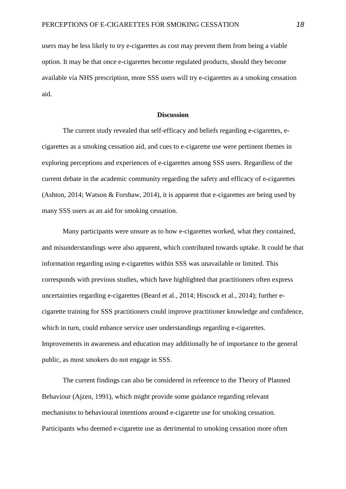users may be less likely to try e-cigarettes as cost may prevent them from being a viable option. It may be that once e-cigarettes become regulated products, should they become available via NHS prescription, more SSS users will try e-cigarettes as a smoking cessation aid.

### **Discussion**

The current study revealed that self-efficacy and beliefs regarding e-cigarettes, ecigarettes as a smoking cessation aid, and cues to e-cigarette use were pertinent themes in exploring perceptions and experiences of e-cigarettes among SSS users. Regardless of the current debate in the academic community regarding the safety and efficacy of e-cigarettes (Ashton, 2014; Watson & Forshaw, 2014), it is apparent that e-cigarettes are being used by many SSS users as an aid for smoking cessation.

Many participants were unsure as to how e-cigarettes worked, what they contained, and misunderstandings were also apparent, which contributed towards uptake. It could be that information regarding using e-cigarettes within SSS was unavailable or limited. This corresponds with previous studies, which have highlighted that practitioners often express uncertainties regarding e-cigarettes (Beard et al., 2014; Hiscock et al., 2014); further ecigarette training for SSS practitioners could improve practitioner knowledge and confidence, which in turn, could enhance service user understandings regarding e-cigarettes. Improvements in awareness and education may additionally be of importance to the general public, as most smokers do not engage in SSS.

The current findings can also be considered in reference to the Theory of Planned Behaviour (Ajzen, 1991), which might provide some guidance regarding relevant mechanisms to behavioural intentions around e-cigarette use for smoking cessation. Participants who deemed e-cigarette use as detrimental to smoking cessation more often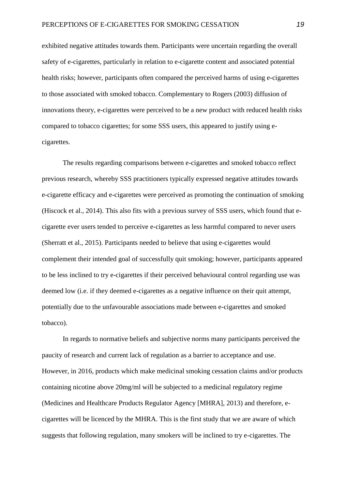exhibited negative attitudes towards them. Participants were uncertain regarding the overall safety of e-cigarettes, particularly in relation to e-cigarette content and associated potential health risks; however, participants often compared the perceived harms of using e-cigarettes to those associated with smoked tobacco. Complementary to Rogers (2003) diffusion of innovations theory, e-cigarettes were perceived to be a new product with reduced health risks compared to tobacco cigarettes; for some SSS users, this appeared to justify using ecigarettes.

The results regarding comparisons between e-cigarettes and smoked tobacco reflect previous research, whereby SSS practitioners typically expressed negative attitudes towards e-cigarette efficacy and e-cigarettes were perceived as promoting the continuation of smoking (Hiscock et al., 2014). This also fits with a previous survey of SSS users, which found that ecigarette ever users tended to perceive e-cigarettes as less harmful compared to never users (Sherratt et al., 2015). Participants needed to believe that using e-cigarettes would complement their intended goal of successfully quit smoking; however, participants appeared to be less inclined to try e-cigarettes if their perceived behavioural control regarding use was deemed low (i.e. if they deemed e-cigarettes as a negative influence on their quit attempt, potentially due to the unfavourable associations made between e-cigarettes and smoked tobacco).

In regards to normative beliefs and subjective norms many participants perceived the paucity of research and current lack of regulation as a barrier to acceptance and use. However, in 2016, products which make medicinal smoking cessation claims and/or products containing nicotine above 20mg/ml will be subjected to a medicinal regulatory regime (Medicines and Healthcare Products Regulator Agency [MHRA], 2013) and therefore, ecigarettes will be licenced by the MHRA. This is the first study that we are aware of which suggests that following regulation, many smokers will be inclined to try e-cigarettes. The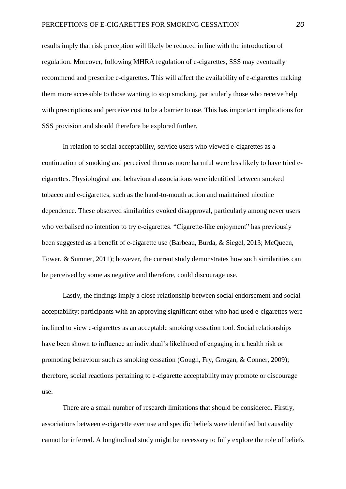results imply that risk perception will likely be reduced in line with the introduction of regulation. Moreover, following MHRA regulation of e-cigarettes, SSS may eventually recommend and prescribe e-cigarettes. This will affect the availability of e-cigarettes making them more accessible to those wanting to stop smoking, particularly those who receive help with prescriptions and perceive cost to be a barrier to use. This has important implications for SSS provision and should therefore be explored further.

In relation to social acceptability, service users who viewed e-cigarettes as a continuation of smoking and perceived them as more harmful were less likely to have tried ecigarettes. Physiological and behavioural associations were identified between smoked tobacco and e-cigarettes, such as the hand-to-mouth action and maintained nicotine dependence. These observed similarities evoked disapproval, particularly among never users who verbalised no intention to try e-cigarettes. "Cigarette-like enjoyment" has previously been suggested as a benefit of e-cigarette use (Barbeau, Burda, & Siegel, 2013; McQueen, Tower, & Sumner, 2011); however, the current study demonstrates how such similarities can be perceived by some as negative and therefore, could discourage use.

Lastly, the findings imply a close relationship between social endorsement and social acceptability; participants with an approving significant other who had used e-cigarettes were inclined to view e-cigarettes as an acceptable smoking cessation tool. Social relationships have been shown to influence an individual's likelihood of engaging in a health risk or promoting behaviour such as smoking cessation (Gough, Fry, Grogan, & Conner, 2009); therefore, social reactions pertaining to e-cigarette acceptability may promote or discourage use.

There are a small number of research limitations that should be considered. Firstly, associations between e-cigarette ever use and specific beliefs were identified but causality cannot be inferred. A longitudinal study might be necessary to fully explore the role of beliefs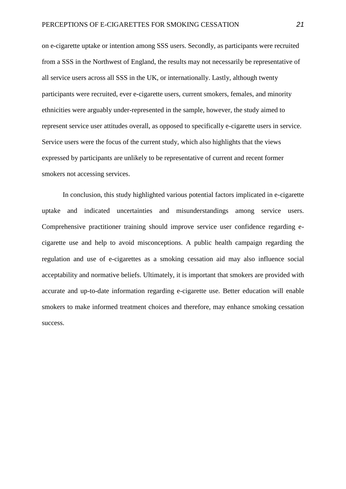on e-cigarette uptake or intention among SSS users. Secondly, as participants were recruited from a SSS in the Northwest of England, the results may not necessarily be representative of all service users across all SSS in the UK, or internationally. Lastly, although twenty participants were recruited, ever e-cigarette users, current smokers, females, and minority ethnicities were arguably under-represented in the sample, however, the study aimed to represent service user attitudes overall, as opposed to specifically e-cigarette users in service. Service users were the focus of the current study, which also highlights that the views expressed by participants are unlikely to be representative of current and recent former smokers not accessing services.

In conclusion, this study highlighted various potential factors implicated in e-cigarette uptake and indicated uncertainties and misunderstandings among service users. Comprehensive practitioner training should improve service user confidence regarding ecigarette use and help to avoid misconceptions. A public health campaign regarding the regulation and use of e-cigarettes as a smoking cessation aid may also influence social acceptability and normative beliefs. Ultimately, it is important that smokers are provided with accurate and up-to-date information regarding e-cigarette use. Better education will enable smokers to make informed treatment choices and therefore, may enhance smoking cessation success.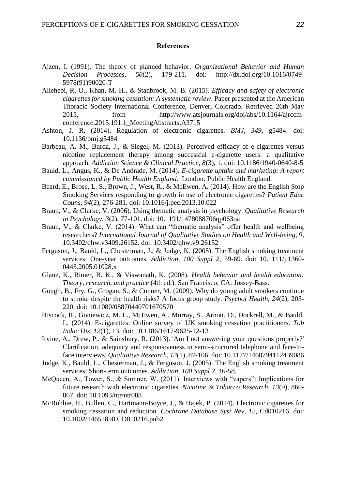#### **References**

- Ajzen, I. (1991). The theory of planned behavior. *Organizational Behavior and Human Decision Processes, 50*(2), 179-211. doi: http://dx.doi.org/10.1016/0749- 5978(91)90020-T
- Allehebi, R. O., Khan, M. H., & Stanbrook, M. B. (2015). *Efficacy and safety of electronic cigarettes for smoking cessation: A systematic review*. Paper presented at the American Thoracic Society International Conference, Denver, Colorado. Retrieved 26th May 2015, from http://www.atsjournals.org/doi/abs/10.1164/ajrccmconference.2015.191.1\_MeetingAbstracts.A3715
- Ashton, J. R. (2014). Regulation of electronic cigarettes. *BMJ, 349*, g5484. doi: 10.1136/bmj.g5484
- Barbeau, A. M., Burda, J., & Siegel, M. (2013). Perceived efficacy of e-cigarettes versus nicotine replacement therapy among successful e-cigarette users: a qualitative approach. *Addiction Science & Clinical Practice, 8*(3), 1. doi: 10.1186/1940-0640-8-5
- Bauld, L., Angus, K., & De Andrade, M. (2014). *E-cigarette uptake and marketing: A report commissioned by Public Health England*. London: Public Health England.
- Beard, E., Brose, L. S., Brown, J., West, R., & McEwen, A. (2014). How are the English Stop Smoking Services responding to growth in use of electronic cigarettes? *Patient Educ Couns, 94*(2), 276-281. doi: 10.1016/j.pec.2013.10.022
- Braun, V., & Clarke, V. (2006). Using thematic analysis in psychology. *Qualitative Research in Psychology, 3*(2), 77-101. doi: 10.1191/1478088706qp063oa
- Braun, V., & Clarke, V. (2014). What can "thematic analysis" offer health and wellbeing researchers? *International Journal of Qualitative Studies on Health and Well-being, 9*, 10.3402/qhw.v3409.26152. doi: 10.3402/qhw.v9.26152
- Ferguson, J., Bauld, L., Chesterman, J., & Judge, K. (2005). The English smoking treatment services: One-year outcomes. *Addiction, 100 Suppl 2*, 59-69. doi: 10.1111/j.1360- 0443.2005.01028.x
- Glanz, K., Rimer, B. K., & Viswanath, K. (2008). *Health behavior and health education: Theory, research, and practice* (4th ed.). San Francisco, CA: Jossey-Bass.
- Gough, B., Fry, G., Grogan, S., & Conner, M. (2009). Why do young adult smokers continue to smoke despite the health risks? A focus group study. *Psychol Health, 24*(2), 203- 220. doi: 10.1080/08870440701670570
- Hiscock, R., Goniewicz, M. L., McEwen, A., Murray, S., Arnott, D., Dockrell, M., & Bauld, L. (2014). E-cigarettes: Online survey of UK smoking cessation practitioners. *Tob Induc Dis, 12*(1), 13. doi: 10.1186/1617-9625-12-13
- Irvine, A., Drew, P., & Sainsbury, R. (2013). 'Am I not answering your questions properly?' Clarification, adequacy and responsiveness in semi-structured telephone and face-toface interviews. *Qualitative Research, 13*(1), 87-106. doi: 10.1177/1468794112439086
- Judge, K., Bauld, L., Chesterman, J., & Ferguson, J. (2005). The English smoking treatment services: Short-term outcomes. *Addiction, 100 Suppl 2*, 46-58.
- McQueen, A., Tower, S., & Sumner, W. (2011). Interviews with "vapers": Implications for future research with electronic cigarettes. *Nicotine & Tobacco Research, 13*(9), 860- 867. doi: 10.1093/ntr/ntr088
- McRobbie, H., Bullen, C., Hartmann-Boyce, J., & Hajek, P. (2014). Electronic cigarettes for smoking cessation and reduction. *Cochrane Database Syst Rev, 12*, Cd010216. doi: 10.1002/14651858.CD010216.pub2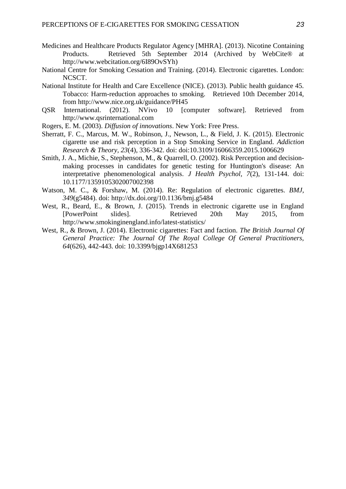- Medicines and Healthcare Products Regulator Agency [MHRA]. (2013). Nicotine Containing Products. Retrieved 5th September 2014 (Archived by WebCite® at http://www.webcitation.org/6I89OvSYh)
- National Centre for Smoking Cessation and Training. (2014). Electronic cigarettes. London: NCSCT.
- National Institute for Health and Care Excellence (NICE). (2013). Public health guidance 45. Tobacco: Harm-reduction approaches to smoking. Retrieved 10th December 2014, from http://www.nice.org.uk/guidance/PH45
- QSR International. (2012). NVivo 10 [computer software]. Retrieved from http://www.qsrinternational.com
- Rogers, E. M. (2003). *Diffusion of innovations*. New York: Free Press.
- Sherratt, F. C., Marcus, M. W., Robinson, J., Newson, L., & Field, J. K. (2015). Electronic cigarette use and risk perception in a Stop Smoking Service in England. *Addiction Research & Theory, 23*(4), 336-342. doi: doi:10.3109/16066359.2015.1006629
- Smith, J. A., Michie, S., Stephenson, M., & Quarrell, O. (2002). Risk Perception and decisionmaking processes in candidates for genetic testing for Huntington's disease: An interpretative phenomenological analysis. *J Health Psychol, 7*(2), 131-144. doi: 10.1177/1359105302007002398
- Watson, M. C., & Forshaw, M. (2014). Re: Regulation of electronic cigarettes. *BMJ*, *349*(g5484). doi: http://dx.doi.org/10.1136/bmj.g5484
- West, R., Beard, E., & Brown, J. (2015). Trends in electronic cigarette use in England [PowerPoint slides]. Retrieved 20th May 2015, from http://www.smokinginengland.info/latest-statistics/
- West, R., & Brown, J. (2014). Electronic cigarettes: Fact and faction. *The British Journal Of General Practice: The Journal Of The Royal College Of General Practitioners, 64*(626), 442-443. doi: 10.3399/bjgp14X681253